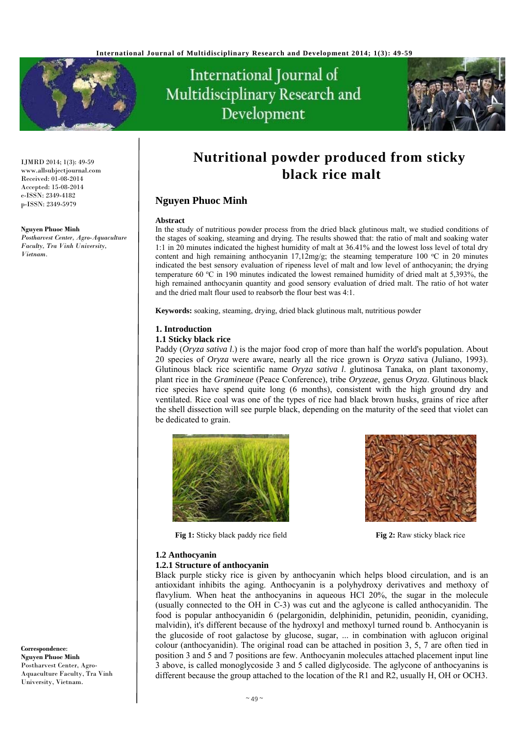

# International Journal of Multidisciplinary Research and Development



IJMRD 2014; 1(3): 49-59 www.allsubjectjournal.com Received: 01-08-2014 Accepted: 15-08-2014 e-ISSN: 2349-4182 p-ISSN: 2349-5979

#### **Nguyen Phuoc Minh**

*Postharvest Center, Agro-Aquaculture Faculty, Tra Vinh University, Vietnam.* 

# **Nutritional powder produced from sticky black rice malt**

# **Nguyen Phuoc Minh**

### **Abstract**

In the study of nutritious powder process from the dried black glutinous malt, we studied conditions of the stages of soaking, steaming and drying. The results showed that: the ratio of malt and soaking water 1:1 in 20 minutes indicated the highest humidity of malt at 36.41% and the lowest loss level of total dry content and high remaining anthocyanin 17,12mg/g; the steaming temperature 100  $^{\circ}$ C in 20 minutes indicated the best sensory evaluation of ripeness level of malt and low level of anthocyanin; the drying temperature 60 °C in 190 minutes indicated the lowest remained humidity of dried malt at 5,393%, the high remained anthocyanin quantity and good sensory evaluation of dried malt. The ratio of hot water and the dried malt flour used to reabsorb the flour best was 4:1.

**Keywords:** soaking, steaming, drying, dried black glutinous malt, nutritious powder

# **1. Introduction**

# **1.1 Sticky black rice**

Paddy (*Oryza sativa l*.) is the major food crop of more than half the world's population. About 20 species of *Oryza* were aware, nearly all the rice grown is *Oryza* sativa (Juliano, 1993). Glutinous black rice scientific name *Oryza sativa l*. glutinosa Tanaka, on plant taxonomy, plant rice in the *Gramineae* (Peace Conference), tribe *Oryzeae*, genus *Oryza*. Glutinous black rice species have spend quite long (6 months), consistent with the high ground dry and ventilated. Rice coal was one of the types of rice had black brown husks, grains of rice after the shell dissection will see purple black, depending on the maturity of the seed that violet can be dedicated to grain.



**Fig 1:** Sticky black paddy rice field **Fig 2:** Raw sticky black rice



# **1.2 Anthocyanin**

### **1.2.1 Structure of anthocyanin**

Black purple sticky rice is given by anthocyanin which helps blood circulation, and is an antioxidant inhibits the aging. Anthocyanin is a polyhydroxy derivatives and methoxy of flavylium. When heat the anthocyanins in aqueous HCl 20%, the sugar in the molecule (usually connected to the OH in C-3) was cut and the aglycone is called anthocyanidin. The food is popular anthocyanidin 6 (pelargonidin, delphinidin, petunidin, peonidin, cyaniding, malvidin), it's different because of the hydroxyl and methoxyl turned round b. Anthocyanin is the glucoside of root galactose by glucose, sugar, ... in combination with aglucon original colour (anthocyanidin). The original road can be attached in position 3, 5, 7 are often tied in position 3 and 5 and 7 positions are few. Anthocyanin molecules attached placement input line 3 above, is called monoglycoside 3 and 5 called diglycoside. The aglycone of anthocyanins is different because the group attached to the location of the R1 and R2, usually H, OH or OCH3.

**Correspondence**: **Nguyen Phuoc Minh**  Postharvest Center, Agro-Aquaculture Faculty, Tra Vinh University, Vietnam.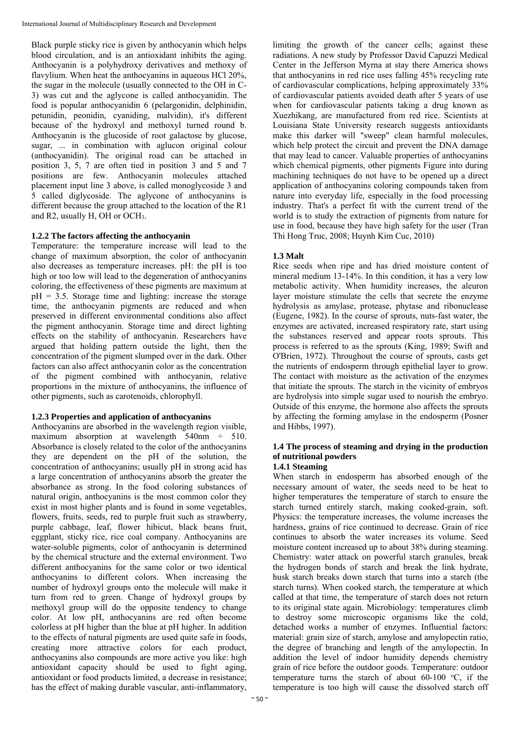Black purple sticky rice is given by anthocyanin which helps blood circulation, and is an antioxidant inhibits the aging. Anthocyanin is a polyhydroxy derivatives and methoxy of flavylium. When heat the anthocyanins in aqueous HCl 20%, the sugar in the molecule (usually connected to the OH in C-3) was cut and the aglycone is called anthocyanidin. The food is popular anthocyanidin 6 (pelargonidin, delphinidin, petunidin, peonidin, cyaniding, malvidin), it's different because of the hydroxyl and methoxyl turned round b. Anthocyanin is the glucoside of root galactose by glucose, sugar, ... in combination with aglucon original colour (anthocyanidin). The original road can be attached in position 3, 5, 7 are often tied in position 3 and 5 and 7 positions are few. Anthocyanin molecules attached placement input line 3 above, is called monoglycoside 3 and 5 called diglycoside. The aglycone of anthocyanins is different because the group attached to the location of the R1 and R2, usually H, OH or OCH3.

# **1.2.2 The factors affecting the anthocyanin**

Temperature: the temperature increase will lead to the change of maximum absorption, the color of anthocyanin also decreases as temperature increases. pH: the pH is too high or too low will lead to the degeneration of anthocyanins coloring, the effectiveness of these pigments are maximum at  $pH = 3.5$ . Storage time and lighting: increase the storage time, the anthocyanin pigments are reduced and when preserved in different environmental conditions also affect the pigment anthocyanin. Storage time and direct lighting effects on the stability of anthocyanin. Researchers have argued that holding pattern outside the light, then the concentration of the pigment slumped over in the dark. Other factors can also affect anthocyanin color as the concentration of the pigment combined with anthocyanin, relative proportions in the mixture of anthocyanins, the influence of other pigments, such as carotenoids, chlorophyll.

# **1.2.3 Properties and application of anthocyanins**

Anthocyanins are absorbed in the wavelength region visible, maximum absorption at wavelength  $540$ nm  $\div$  510. Absorbance is closely related to the color of the anthocyanins they are dependent on the pH of the solution, the concentration of anthocyanins; usually pH in strong acid has a large concentration of anthocyanins absorb the greater the absorbance as strong. In the food coloring substances of natural origin, anthocyanins is the most common color they exist in most higher plants and is found in some vegetables, flowers, fruits, seeds, red to purple fruit such as strawberry, purple cabbage, leaf, flower hibicut, black beans fruit, eggplant, sticky rice, rice coal company. Anthocyanins are water-soluble pigments, color of anthocyanin is determined by the chemical structure and the external environment. Two different anthocyanins for the same color or two identical anthocyanins to different colors. When increasing the number of hydroxyl groups onto the molecule will make it turn from red to green. Change of hydroxyl groups by methoxyl group will do the opposite tendency to change color. At low pH, anthocyanins are red often become colorless at pH higher than the blue at pH higher. In addition to the effects of natural pigments are used quite safe in foods, creating more attractive colors for each product, anthocyanins also compounds are more active you like: high antioxidant capacity should be used to fight aging, antioxidant or food products limited, a decrease in resistance; has the effect of making durable vascular, anti-inflammatory,

limiting the growth of the cancer cells; against these radiations. A new study by Professor David Capuzzi Medical Center in the Jefferson Myrna at stay there America shows that anthocyanins in red rice uses falling 45% recycling rate of cardiovascular complications, helping approximately 33% of cardiovascular patients avoided death after 5 years of use when for cardiovascular patients taking a drug known as Xuezhikang, are manufactured from red rice. Scientists at Louisiana State University research suggests antioxidants make this darker will "sweep" clean harmful molecules, which help protect the circuit and prevent the DNA damage that may lead to cancer. Valuable properties of anthocyanins which chemical pigments, other pigments Figure into during machining techniques do not have to be opened up a direct application of anthocyanins coloring compounds taken from nature into everyday life, especially in the food processing industry. That's a perfect fit with the current trend of the world is to study the extraction of pigments from nature for use in food, because they have high safety for the user (Tran Thi Hong Truc, 2008; Huynh Kim Cuc, 2010)

# **1.3 Malt**

Rice seeds when ripe and has dried moisture content of mineral medium 13-14%. In this condition, it has a very low metabolic activity. When humidity increases, the aleuron layer moisture stimulate the cells that secrete the enzyme hydrolysis as amylase, protease, phytase and ribonuclease (Eugene, 1982). In the course of sprouts, nuts-fast water, the enzymes are activated, increased respiratory rate, start using the substances reserved and appear roots sprouts. This process is referred to as the sprouts (King, 1989; Swift and O'Brien, 1972). Throughout the course of sprouts, casts get the nutrients of endosperm through epithelial layer to grow. The contact with moisture as the activation of the enzymes that initiate the sprouts. The starch in the vicinity of embryos are hydrolysis into simple sugar used to nourish the embryo. Outside of this enzyme, the hormone also affects the sprouts by affecting the forming amylase in the endosperm (Posner and Hibbs, 1997).

# **1.4 The process of steaming and drying in the production of nutritional powders**

# **1.4.1 Steaming**

When starch in endosperm has absorbed enough of the necessary amount of water, the seeds need to be heat to higher temperatures the temperature of starch to ensure the starch turned entirely starch, making cooked-grain, soft. Physics: the temperature increases, the volume increases the hardness, grains of rice continued to decrease. Grain of rice continues to absorb the water increases its volume. Seed moisture content increased up to about 38% during steaming. Chemistry: water attack on powerful starch granules, break the hydrogen bonds of starch and break the link hydrate, husk starch breaks down starch that turns into a starch (the starch turns). When cooked starch, the temperature at which called at that time, the temperature of starch does not return to its original state again. Microbiology: temperatures climb to destroy some microscopic organisms like the cold, detached works a number of enzymes. Influential factors: material: grain size of starch, amylose and amylopectin ratio, the degree of branching and length of the amylopectin. In addition the level of indoor humidity depends chemistry grain of rice before the outdoor goods. Temperature: outdoor temperature turns the starch of about 60-100  $\,^{\circ}\text{C}$ , if the temperature is too high will cause the dissolved starch off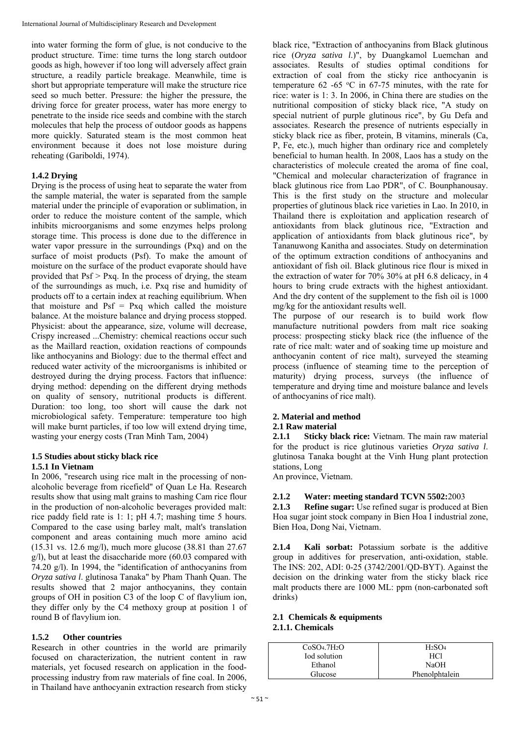into water forming the form of glue, is not conducive to the product structure. Time: time turns the long starch outdoor goods as high, however if too long will adversely affect grain structure, a readily particle breakage. Meanwhile, time is short but appropriate temperature will make the structure rice seed so much better. Pressure: the higher the pressure, the driving force for greater process, water has more energy to penetrate to the inside rice seeds and combine with the starch molecules that help the process of outdoor goods as happens more quickly. Saturated steam is the most common heat environment because it does not lose moisture during reheating (Gariboldi, 1974).

# **1.4.2 Drying**

Drying is the process of using heat to separate the water from the sample material, the water is separated from the sample material under the principle of evaporation or sublimation, in order to reduce the moisture content of the sample, which inhibits microorganisms and some enzymes helps prolong storage time. This process is done due to the difference in water vapor pressure in the surroundings (Pxq) and on the surface of moist products (Psf). To make the amount of moisture on the surface of the product evaporate should have provided that  $Psf > Pxq$ . In the process of drying, the steam of the surroundings as much, i.e. Pxq rise and humidity of products off to a certain index at reaching equilibrium. When that moisture and  $\text{Psf} = \text{Pxq}$  which called the moisture balance. At the moisture balance and drying process stopped. Physicist: about the appearance, size, volume will decrease, Crispy increased ...Chemistry: chemical reactions occur such as the Maillard reaction, oxidation reactions of compounds like anthocyanins and Biology: due to the thermal effect and reduced water activity of the microorganisms is inhibited or destroyed during the drying process. Factors that influence: drying method: depending on the different drying methods on quality of sensory, nutritional products is different. Duration: too long, too short will cause the dark not microbiological safety. Temperature: temperature too high will make burnt particles, if too low will extend drying time, wasting your energy costs (Tran Minh Tam, 2004)

### **1.5 Studies about sticky black rice 1.5.1 In Vietnam**

In 2006, "research using rice malt in the processing of nonalcoholic beverage from ricefield" of Quan Le Ha. Research results show that using malt grains to mashing Cam rice flour in the production of non-alcoholic beverages provided malt: rice paddy field rate is 1: 1; pH 4.7; mashing time 5 hours. Compared to the case using barley malt, malt's translation component and areas containing much more amino acid (15.31 vs. 12.6 mg/l), much more glucose (38.81 than 27.67 g/l), but at least the disaccharide more (60.03 compared with 74.20 g/l). In 1994, the "identification of anthocyanins from *Oryza sativa l*. glutinosa Tanaka" by Pham Thanh Quan. The results showed that 2 major anthocyanins, they contain groups of OH in position C3 of the loop C of flavylium ion, they differ only by the C4 methoxy group at position 1 of round B of flavylium ion.

# **1.5.2 Other countries**

Research in other countries in the world are primarily focused on characterization, the nutrient content in raw materials, yet focused research on application in the foodprocessing industry from raw materials of fine coal. In 2006, in Thailand have anthocyanin extraction research from sticky

black rice, "Extraction of anthocyanins from Black glutinous rice (*Oryza sativa l*.)", by Duangkamol Luemchan and associates. Results of studies optimal conditions for extraction of coal from the sticky rice anthocyanin is temperature 62 -65  $\degree$ C in 67-75 minutes, with the rate for rice: water is 1: 3. In 2006, in China there are studies on the nutritional composition of sticky black rice, "A study on special nutrient of purple glutinous rice", by Gu Defa and associates. Research the presence of nutrients especially in sticky black rice as fiber, protein, B vitamins, minerals (Ca, P, Fe, etc.), much higher than ordinary rice and completely beneficial to human health. In 2008, Laos has a study on the characteristics of molecule created the aroma of fine coal, "Chemical and molecular characterization of fragrance in black glutinous rice from Lao PDR", of C. Bounphanousay. This is the first study on the structure and molecular properties of glutinous black rice varieties in Lao. In 2010, in Thailand there is exploitation and application research of antioxidants from black glutinous rice, "Extraction and application of antioxidants from black glutinous rice", by Tananuwong Kanitha and associates. Study on determination of the optimum extraction conditions of anthocyanins and antioxidant of fish oil. Black glutinous rice flour is mixed in the extraction of water for 70% 30% at pH 6.8 delicacy, in 4 hours to bring crude extracts with the highest antioxidant. And the dry content of the supplement to the fish oil is 1000 mg/kg for the antioxidant results well.

The purpose of our research is to build work flow manufacture nutritional powders from malt rice soaking process: prospecting sticky black rice (the influence of the rate of rice malt: water and of soaking time up moisture and anthocyanin content of rice malt), surveyed the steaming process (influence of steaming time to the perception of maturity) drying process, surveys (the influence of temperature and drying time and moisture balance and levels of anthocyanins of rice malt).

# **2. Material and method**

# **2.1 Raw material**

**2.1.1 Sticky black rice:** Vietnam. The main raw material for the product is rice glutinous varieties *Oryza sativa l*. glutinosa Tanaka bought at the Vinh Hung plant protection stations, Long

An province, Vietnam.

# **2.1.2 Water: meeting standard TCVN 5502:**2003

**2.1.3 Refine sugar:** Use refined sugar is produced at Bien Hoa sugar joint stock company in Bien Hoa I industrial zone, Bien Hoa, Dong Nai, Vietnam.

**2.1.4 Kali sorbat:** Potassium sorbate is the additive group in additives for preservation, anti-oxidation, stable. The INS: 202, ADI: 0-25 (3742/2001/QD-BYT). Against the decision on the drinking water from the sticky black rice malt products there are 1000 ML: ppm (non-carbonated soft drinks)

# **2.1 Chemicals & equipments 2.1.1. Chemicals**

| CoSO <sub>4</sub> .7H <sub>2</sub> O | H <sub>2</sub> SO <sub>4</sub> |
|--------------------------------------|--------------------------------|
| Iod solution                         | HC1                            |
| Ethanol                              | NaOH                           |
| Glucose                              | Phenolphtalein                 |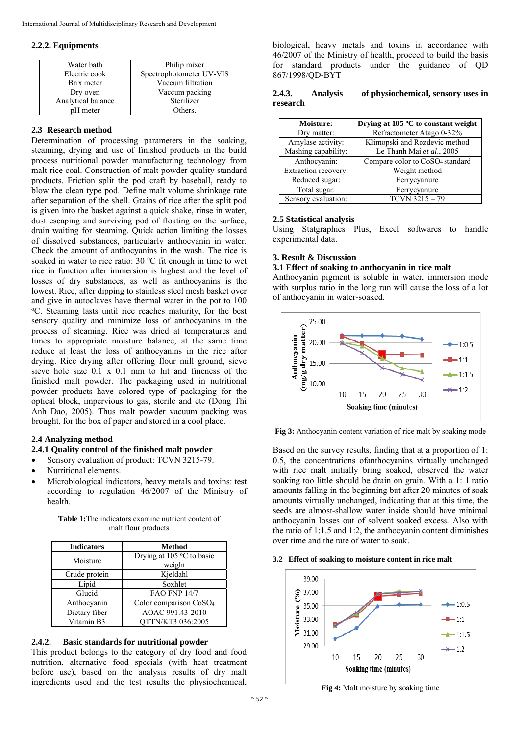### **2.2.2. Equipments**

| Water bath         | Philip mixer             |
|--------------------|--------------------------|
| Electric cook      | Spectrophotometer UV-VIS |
| Brix meter         | Vaccum filtration        |
| Dry oven           | Vaccum packing           |
| Analytical balance | Sterilizer               |
| pH meter           | Others.                  |

# **2.3 Research method**

Determination of processing parameters in the soaking, steaming, drying and use of finished products in the build process nutritional powder manufacturing technology from malt rice coal. Construction of malt powder quality standard products. Friction split the pod craft by baseball, ready to blow the clean type pod. Define malt volume shrinkage rate after separation of the shell. Grains of rice after the split pod is given into the basket against a quick shake, rinse in water, dust escaping and surviving pod of floating on the surface, drain waiting for steaming. Quick action limiting the losses of dissolved substances, particularly anthocyanin in water. Check the amount of anthocyanins in the wash. The rice is soaked in water to rice ratio:  $30^{\circ}$ C fit enough in time to wet rice in function after immersion is highest and the level of losses of dry substances, as well as anthocyanins is the lowest. Rice, after dipping to stainless steel mesh basket over and give in autoclaves have thermal water in the pot to 100 o C. Steaming lasts until rice reaches maturity, for the best sensory quality and minimize loss of anthocyanins in the process of steaming. Rice was dried at temperatures and times to appropriate moisture balance, at the same time reduce at least the loss of anthocyanins in the rice after drying. Rice drying after offering flour mill ground, sieve sieve hole size 0.1 x 0.1 mm to hit and fineness of the finished malt powder. The packaging used in nutritional powder products have colored type of packaging for the optical block, impervious to gas, sterile and etc (Dong Thi Anh Dao, 2005). Thus malt powder vacuum packing was brought, for the box of paper and stored in a cool place.

# **2.4 Analyzing method**

# **2.4.1 Quality control of the finished malt powder**

- Sensory evaluation of product: TCVN 3215-79.
- Nutritional elements.
- Microbiological indicators, heavy metals and toxins: test according to regulation 46/2007 of the Ministry of health.

**Table 1:**The indicators examine nutrient content of malt flour products

| <b>Indicators</b> | <b>Method</b>                      |  |  |
|-------------------|------------------------------------|--|--|
| Moisture          | Drying at 105 °C to basic          |  |  |
|                   | weight                             |  |  |
| Crude protein     | Kjeldahl                           |  |  |
| Lipid             | Soxhlet                            |  |  |
| Glucid            | <b>FAO FNP 14/7</b>                |  |  |
| Anthocyanin       | Color comparison CoSO <sub>4</sub> |  |  |
| Dietary fiber     | AOAC 991.43-2010                   |  |  |
| Vitamin B3        | QTTN/KT3 036:2005                  |  |  |

# **2.4.2. Basic standards for nutritional powder**

This product belongs to the category of dry food and food nutrition, alternative food specials (with heat treatment before use), based on the analysis results of dry malt ingredients used and the test results the physiochemical,

biological, heavy metals and toxins in accordance with 46/2007 of the Ministry of health, proceed to build the basis for standard products under the guidance of QD 867/1998/QD-BYT

### **2.4.3. Analysis of physiochemical, sensory uses in research**

| <b>Moisture:</b>     | Drying at 105 °C to constant weight         |
|----------------------|---------------------------------------------|
| Dry matter:          | Refractometer Atago 0-32%                   |
| Amylase activity:    | Klimopski and Rozdevic method               |
| Mashing capability:  | Le Thanh Mai et al., 2005                   |
| Anthocyanin:         | Compare color to CoSO <sub>4</sub> standard |
| Extraction recovery: | Weight method                               |
| Reduced sugar:       | Ferrycyanure                                |
| Total sugar:         | Ferrycyanure                                |
| Sensory evaluation:  | $TCVN$ 3215 - 79                            |

### **2.5 Statistical analysis**

Using Statgraphics Plus, Excel softwares to handle experimental data.

### **3. Result & Discussion**

### **3.1 Effect of soaking to anthocyanin in rice malt**

Anthocyanin pigment is soluble in water, immersion mode with surplus ratio in the long run will cause the loss of a lot of anthocyanin in water-soaked.



**Fig 3:** Anthocyanin content variation of rice malt by soaking mode

Based on the survey results, finding that at a proportion of 1: 0.5, the concentrations ofanthocyanins virtually unchanged with rice malt initially bring soaked, observed the water soaking too little should be drain on grain. With a 1: 1 ratio amounts falling in the beginning but after 20 minutes of soak amounts virtually unchanged, indicating that at this time, the seeds are almost-shallow water inside should have minimal anthocyanin losses out of solvent soaked excess. Also with the ratio of 1:1.5 and 1:2, the anthocyanin content diminishes over time and the rate of water to soak.

#### **3.2 Effect of soaking to moisture content in rice malt**



**Fig 4:** Malt moisture by soaking time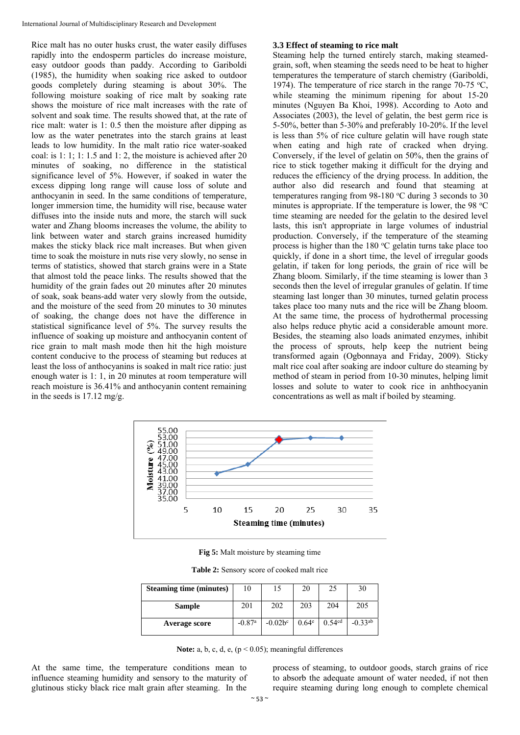Rice malt has no outer husks crust, the water easily diffuses rapidly into the endosperm particles do increase moisture, easy outdoor goods than paddy. According to Gariboldi (1985), the humidity when soaking rice asked to outdoor goods completely during steaming is about 30%. The following moisture soaking of rice malt by soaking rate shows the moisture of rice malt increases with the rate of solvent and soak time. The results showed that, at the rate of rice malt: water is 1: 0.5 then the moisture after dipping as low as the water penetrates into the starch grains at least leads to low humidity. In the malt ratio rice water-soaked coal: is 1: 1; 1: 1.5 and 1: 2, the moisture is achieved after 20 minutes of soaking, no difference in the statistical significance level of 5%. However, if soaked in water the excess dipping long range will cause loss of solute and anthocyanin in seed. In the same conditions of temperature, longer immersion time, the humidity will rise, because water diffuses into the inside nuts and more, the starch will suck water and Zhang blooms increases the volume, the ability to link between water and starch grains increased humidity makes the sticky black rice malt increases. But when given time to soak the moisture in nuts rise very slowly, no sense in terms of statistics, showed that starch grains were in a State that almost told the peace links. The results showed that the humidity of the grain fades out 20 minutes after 20 minutes of soak, soak beans-add water very slowly from the outside, and the moisture of the seed from 20 minutes to 30 minutes of soaking, the change does not have the difference in statistical significance level of 5%. The survey results the influence of soaking up moisture and anthocyanin content of rice grain to malt mash mode then hit the high moisture content conducive to the process of steaming but reduces at least the loss of anthocyanins is soaked in malt rice ratio: just enough water is 1: 1, in 20 minutes at room temperature will reach moisture is 36.41% and anthocyanin content remaining in the seeds is 17.12 mg/g.

## **3.3 Effect of steaming to rice malt**

Steaming help the turned entirely starch, making steamedgrain, soft, when steaming the seeds need to be heat to higher temperatures the temperature of starch chemistry (Gariboldi, 1974). The temperature of rice starch in the range 70-75  $\textdegree$ C, while steaming the minimum ripening for about 15-20 minutes (Nguyen Ba Khoi, 1998). According to Aoto and Associates (2003), the level of gelatin, the best germ rice is 5-50%, better than 5-30% and preferably 10-20%. If the level is less than 5% of rice culture gelatin will have rough state when eating and high rate of cracked when drying. Conversely, if the level of gelatin on 50%, then the grains of rice to stick together making it difficult for the drying and reduces the efficiency of the drying process. In addition, the author also did research and found that steaming at temperatures ranging from  $98-180$  °C during 3 seconds to 30 minutes is appropriate. If the temperature is lower, the 98  $^{\circ}$ C time steaming are needed for the gelatin to the desired level lasts, this isn't appropriate in large volumes of industrial production. Conversely, if the temperature of the steaming process is higher than the  $180 °C$  gelatin turns take place too quickly, if done in a short time, the level of irregular goods gelatin, if taken for long periods, the grain of rice will be Zhang bloom. Similarly, if the time steaming is lower than 3 seconds then the level of irregular granules of gelatin. If time steaming last longer than 30 minutes, turned gelatin process takes place too many nuts and the rice will be Zhang bloom. At the same time, the process of hydrothermal processing also helps reduce phytic acid a considerable amount more. Besides, the steaming also loads animated enzymes, inhibit the process of sprouts, help keep the nutrient being transformed again (Ogbonnaya and Friday, 2009). Sticky malt rice coal after soaking are indoor culture do steaming by method of steam in period from 10-30 minutes, helping limit losses and solute to water to cook rice in anhthocyanin concentrations as well as malt if boiled by steaming.



**Fig 5:** Malt moisture by steaming time

**Table 2:** Sensory score of cooked malt rice

| <b>Steaming time (minutes)</b> | 10                   | 15         | 20                | 25                 | 30           |
|--------------------------------|----------------------|------------|-------------------|--------------------|--------------|
| Sample                         | 201                  | 202        | 203               | 204                | 205          |
| Average score                  | $-0.87$ <sup>a</sup> | $-0.02b^c$ | 0.64 <sup>e</sup> | 0.54 <sup>cd</sup> | $-0.33^{ab}$ |

Note: a, b, c, d, e,  $(p < 0.05)$ ; meaningful differences

At the same time, the temperature conditions mean to influence steaming humidity and sensory to the maturity of glutinous sticky black rice malt grain after steaming. In the

process of steaming, to outdoor goods, starch grains of rice to absorb the adequate amount of water needed, if not then require steaming during long enough to complete chemical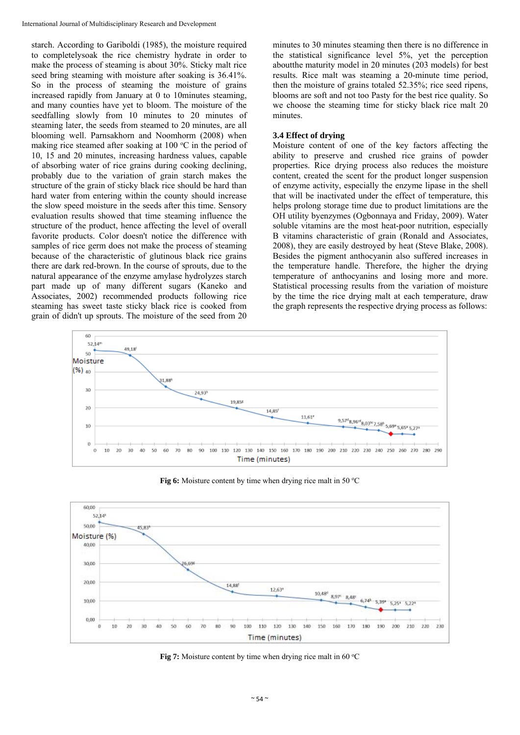starch. According to Gariboldi (1985), the moisture required to completelysoak the rice chemistry hydrate in order to make the process of steaming is about 30%. Sticky malt rice seed bring steaming with moisture after soaking is 36.41%. So in the process of steaming the moisture of grains increased rapidly from January at 0 to 10minutes steaming, and many counties have yet to bloom. The moisture of the seedfalling slowly from 10 minutes to 20 minutes of steaming later, the seeds from steamed to 20 minutes, are all blooming well. Parnsakhorn and Noomhorm (2008) when making rice steamed after soaking at  $100 °C$  in the period of 10, 15 and 20 minutes, increasing hardness values, capable of absorbing water of rice grains during cooking declining, probably due to the variation of grain starch makes the structure of the grain of sticky black rice should be hard than hard water from entering within the county should increase the slow speed moisture in the seeds after this time. Sensory evaluation results showed that time steaming influence the structure of the product, hence affecting the level of overall favorite products. Color doesn't notice the difference with samples of rice germ does not make the process of steaming because of the characteristic of glutinous black rice grains there are dark red-brown. In the course of sprouts, due to the natural appearance of the enzyme amylase hydrolyzes starch part made up of many different sugars (Kaneko and Associates, 2002) recommended products following rice steaming has sweet taste sticky black rice is cooked from grain of didn't up sprouts. The moisture of the seed from 20

minutes to 30 minutes steaming then there is no difference in the statistical significance level 5%, yet the perception aboutthe maturity model in 20 minutes (203 models) for best results. Rice malt was steaming a 20-minute time period, then the moisture of grains totaled 52.35%; rice seed ripens, blooms are soft and not too Pasty for the best rice quality. So we choose the steaming time for sticky black rice malt 20 minutes.

### **3.4 Effect of drying**

Moisture content of one of the key factors affecting the ability to preserve and crushed rice grains of powder properties. Rice drying process also reduces the moisture content, created the scent for the product longer suspension of enzyme activity, especially the enzyme lipase in the shell that will be inactivated under the effect of temperature, this helps prolong storage time due to product limitations are the OH utility byenzymes (Ogbonnaya and Friday, 2009). Water soluble vitamins are the most heat-poor nutrition, especially B vitamins characteristic of grain (Ronald and Associates, 2008), they are easily destroyed by heat (Steve Blake, 2008). Besides the pigment anthocyanin also suffered increases in the temperature handle. Therefore, the higher the drying temperature of anthocyanins and losing more and more. Statistical processing results from the variation of moisture by the time the rice drying malt at each temperature, draw the graph represents the respective drying process as follows:



**Fig 6:** Moisture content by time when drying rice malt in 50 °C



**Fig 7:** Moisture content by time when drying rice malt in 60 °C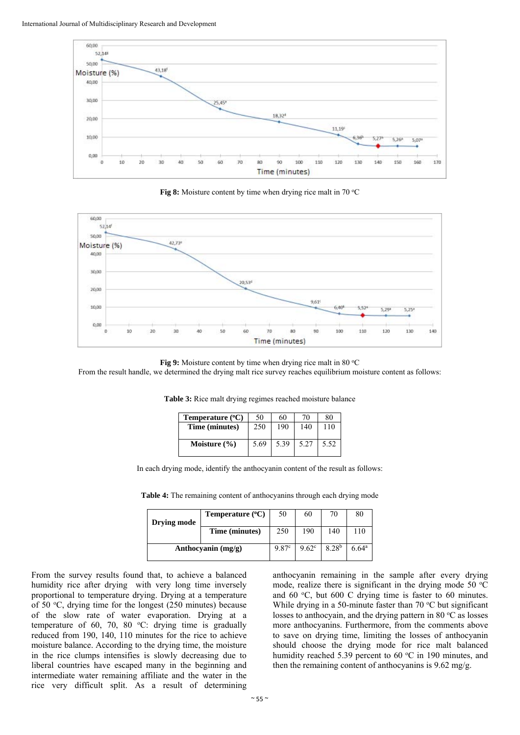

**Fig 8:** Moisture content by time when drying rice malt in 70 °C



**Fig 9:** Moisture content by time when drying rice malt in 80 °C

From the result handle, we determined the drying malt rice survey reaches equilibrium moisture content as follows:

| Temperature $(^{\circ}C)$ | 50   | 60   | 70   | 80   |
|---------------------------|------|------|------|------|
| Time (minutes)            | 250  | 190  | 140  | 110  |
| Moisture $(\% )$          | 5.69 | 5.39 | 5.27 | 5.52 |

**Table 3:** Rice malt drying regimes reached moisture balance

In each drying mode, identify the anthocyanin content of the result as follows:

**Table 4:** The remaining content of anthocyanins through each drying mode

| <b>Drying mode</b> | Temperature $(^{\circ}C)$ | 50    | 60                | 70                | 80                |
|--------------------|---------------------------|-------|-------------------|-------------------|-------------------|
|                    | Time (minutes)            | 250   | 190               | 140               | 110               |
|                    | Anthocyanin $(mg/g)$      | 9.87c | 9.62 <sup>c</sup> | 8.28 <sup>b</sup> | 6.64 <sup>a</sup> |

From the survey results found that, to achieve a balanced humidity rice after drying with very long time inversely proportional to temperature drying. Drying at a temperature of 50 °C, drying time for the longest (250 minutes) because of the slow rate of water evaporation. Drying at a temperature of  $60$ ,  $70$ ,  $80$  °C: drying time is gradually reduced from 190, 140, 110 minutes for the rice to achieve moisture balance. According to the drying time, the moisture in the rice clumps intensifies is slowly decreasing due to liberal countries have escaped many in the beginning and intermediate water remaining affiliate and the water in the rice very difficult split. As a result of determining

anthocyanin remaining in the sample after every drying mode, realize there is significant in the drying mode 50  $^{\circ}$ C and  $60^{\circ}$ C, but  $600^{\circ}$ C drying time is faster to  $60^{\circ}$  minutes. While drying in a 50-minute faster than  $70 °C$  but significant losses to anthocyain, and the drying pattern in 80 °C as losses more anthocyanins. Furthermore, from the comments above to save on drying time, limiting the losses of anthocyanin should choose the drying mode for rice malt balanced humidity reached 5.39 percent to 60  $^{\circ}$ C in 190 minutes, and then the remaining content of anthocyanins is 9.62 mg/g.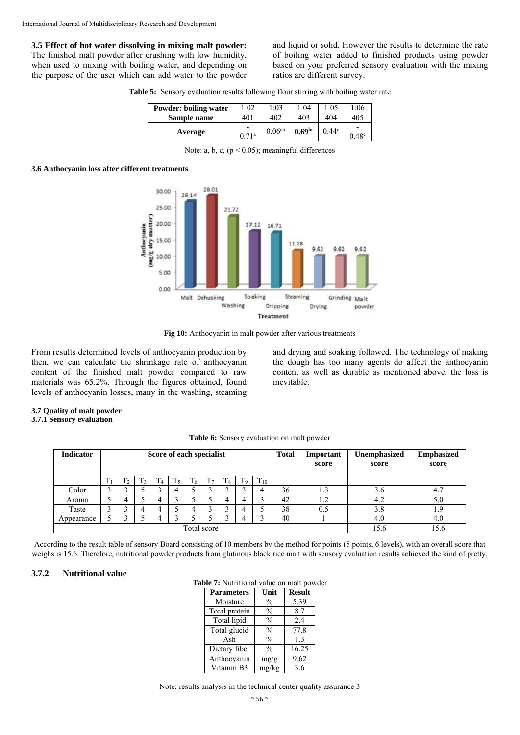**3.5 Effect of hot water dissolving in mixing malt powder:**  The finished malt powder after crushing with low humidity, when used to mixing with boiling water, and depending on the purpose of the user which can add water to the powder and liquid or solid. However the results to determine the rate of boiling water added to finished products using powder based on your preferred sensory evaluation with the mixing ratios are different survey.

**Table 5:** Sensory evaluation results following flour stirring with boiling water rate

| Powder: boiling water | :02 | 1:03        | l:04               | 1:05              | 1:06                |
|-----------------------|-----|-------------|--------------------|-------------------|---------------------|
| Sample name           | 401 | 402         | 403                | 404               | 405                 |
| Average               | 71a | $0.06^{ab}$ | 0.69 <sup>bc</sup> | 0.44 <sup>c</sup> | -<br>$0.48^{\circ}$ |

Note: a, b, c,  $(p < 0.05)$ ; meaningful differences

#### **3.6 Anthocyanin loss after different treatments**



Fig 10: Anthocyanin in malt powder after various treatments

From results determined levels of anthocyanin production by then, we can calculate the shrinkage rate of anthocyanin content of the finished malt powder compared to raw materials was 65.2%. Through the figures obtained, found levels of anthocyanin losses, many in the washing, steaming and drying and soaking followed. The technology of making the dough has too many agents do affect the anthocyanin content as well as durable as mentioned above, the loss is inevitable.

#### **3.7 Quality of malt powder 3.7.1 Sensory evaluation**

| <b>Indicator</b> | Score of each specialist |    |    |               |    |    |                |         |                |          | <b>Total</b> | Important<br>score | Unemphasized<br>score | <b>Emphasized</b><br>score |
|------------------|--------------------------|----|----|---------------|----|----|----------------|---------|----------------|----------|--------------|--------------------|-----------------------|----------------------------|
|                  | T <sub>1</sub>           | 12 | T3 | $\frac{1}{4}$ | T5 | T6 | T <sub>7</sub> | $T_{8}$ | T <sub>9</sub> | $T_{10}$ |              |                    |                       |                            |
| Color            |                          |    |    |               | 4  |    | ◠              |         |                |          | 36           | 1.3                | 3.6                   | 4.7                        |
| Aroma            |                          |    |    |               |    |    |                | 4       | 4              |          | 42           | 1.2                | 4.2                   | 5.0                        |
| Taste            | $\sim$                   |    |    |               |    |    | ◠              |         | 4              |          | 38           | 0.5                | 3.8                   | 1.9                        |
| Appearance       |                          |    |    |               |    |    |                |         | 4              |          | 40           |                    | 4.0                   | 4.0                        |
| Total score      |                          |    |    |               |    |    |                |         |                |          | 15.6         | 15.6               |                       |                            |

According to the result table of sensory Board consisting of 10 members by the method for points (5 points, 6 levels), with an overall score that weighs is 15.6. Therefore, nutritional powder products from glutinous black rice malt with sensory evaluation results achieved the kind of pretty.

### **3.7.2 Nutritional value**

| Table 7: Nutritional value on malt powder |  |  |
|-------------------------------------------|--|--|
|                                           |  |  |

| <b>Parameters</b> | Unit          | <b>Result</b> |
|-------------------|---------------|---------------|
| Moisture          | $\frac{0}{0}$ | 5.39          |
| Total protein     | $\frac{0}{0}$ | 8.7           |
| Total lipid       | $\frac{0}{0}$ | 2.4           |
| Total glucid      | $\frac{0}{0}$ | 77.8          |
| Ash               | $\frac{0}{0}$ | 13            |
| Dietary fiber     | $\frac{0}{0}$ | 16.25         |
| Anthocyanin       | mg/g          | 9.62          |
| Vitamin B3        | mg/kg         | 3.6           |

Note: results analysis in the technical center quality assurance 3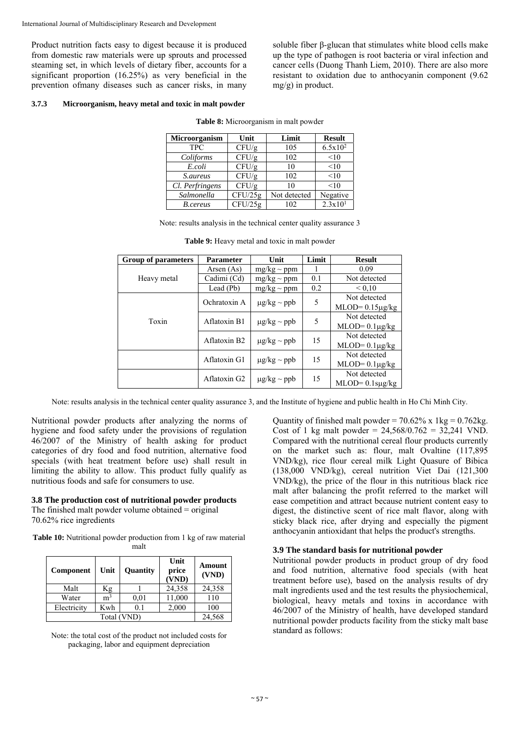Product nutrition facts easy to digest because it is produced from domestic raw materials were up sprouts and processed steaming set, in which levels of dietary fiber, accounts for a significant proportion (16.25%) as very beneficial in the prevention ofmany diseases such as cancer risks, in many

soluble fiber β-glucan that stimulates white blood cells make up the type of pathogen is root bacteria or viral infection and cancer cells (Duong Thanh Liem, 2010). There are also more resistant to oxidation due to anthocyanin component (9.62 mg/g) in product.

#### **3.7.3 Microorganism, heavy metal and toxic in malt powder**

| <b>Microorganism</b> | Unit    | Limit        | <b>Result</b>       |
|----------------------|---------|--------------|---------------------|
| <b>TPC</b>           | CFU/g   | 105          | $6.5x10^2$          |
| Coliforms            | CFU/g   | 102          | <10                 |
| E.coli               | CFU/g   | 10           | <10                 |
| <i>S.aureus</i>      | CFU/g   | 102          | <10                 |
| Cl. Perfringens      | CFU/g   | 10           | <10                 |
| Salmonella           | CFU/25g | Not detected | Negative            |
| <b>B</b> .cereus     | CFU/25g | 102          | 2.3x10 <sup>1</sup> |

**Table 8:** Microorganism in malt powder

|  |  |  |  | Note: results analysis in the technical center quality assurance 3 |
|--|--|--|--|--------------------------------------------------------------------|
|--|--|--|--|--------------------------------------------------------------------|

| <b>Group of parameters</b> | <b>Parameter</b>         | Unit             | Limit | <b>Result</b>          |
|----------------------------|--------------------------|------------------|-------|------------------------|
|                            | Arsen $(As)$             | $mg/kg \sim ppm$ |       | 0.09                   |
| Heavy metal                | Cadimi (Cd)              | $mg/kg \sim ppm$ | 0.1   | Not detected           |
|                            | Lead (Pb)                | $mg/kg \sim ppm$ | 0.2   | ${}_{0.10}$            |
| Toxin                      | Ochratoxin A             | $\mu$ g/kg ~ ppb | 5     | Not detected           |
|                            |                          |                  |       | $MLOD = 0.15 \mu g/kg$ |
|                            | Aflatoxin B1             | $\mu$ g/kg ~ ppb | 5     | Not detected           |
|                            |                          |                  |       | $MLOD = 0.1 \mu g/kg$  |
|                            | Aflatoxin B <sub>2</sub> | $\mu$ g/kg ~ ppb | 15    | Not detected           |
|                            |                          |                  |       | $MLOD = 0.1 \mu g/kg$  |
|                            | Aflatoxin G1             | $\mu$ g/kg ~ ppb | 15    | Not detected           |
|                            |                          |                  |       | $MLOD = 0.1 \mu g/kg$  |
|                            | Aflatoxin G <sub>2</sub> | $\mu$ g/kg ~ ppb | 15    | Not detected           |
|                            |                          |                  |       | $MLOD = 0.1$ sµg/kg    |

**Table 9:** Heavy metal and toxic in malt powder

Note: results analysis in the technical center quality assurance 3, and the Institute of hygiene and public health in Ho Chi Minh City.

Nutritional powder products after analyzing the norms of hygiene and food safety under the provisions of regulation 46/2007 of the Ministry of health asking for product categories of dry food and food nutrition, alternative food specials (with heat treatment before use) shall result in limiting the ability to allow. This product fully qualify as nutritious foods and safe for consumers to use.

# **3.8 The production cost of nutritional powder products**

The finished malt powder volume obtained = original 70.62% rice ingredients

**Table 10:** Nutritional powder production from 1 kg of raw material malt

| Component   | Unit           | Quantity | Unit<br>price<br>(VND) | Amount<br>(VND) |
|-------------|----------------|----------|------------------------|-----------------|
| Malt        | Кg             |          | 24,358                 | 24,358          |
| Water       | m <sup>3</sup> | 0.01     | 11,000                 | 110             |
| Electricity | Kwh            | 0.1      | 2,000                  | 100             |
| Total (VND) |                |          |                        | 24,568          |

Note: the total cost of the product not included costs for packaging, labor and equipment depreciation

Quantity of finished malt powder =  $70.62\%$  x 1kg =  $0.762$ kg. Cost of 1 kg malt powder =  $24,568/0.762 = 32,241$  VND. Compared with the nutritional cereal flour products currently on the market such as: flour, malt Ovaltine (117,895 VND/kg), rice flour cereal milk Light Quasure of Bibica (138,000 VND/kg), cereal nutrition Viet Dai (121,300 VND/kg), the price of the flour in this nutritious black rice malt after balancing the profit referred to the market will ease competition and attract because nutrient content easy to digest, the distinctive scent of rice malt flavor, along with sticky black rice, after drying and especially the pigment anthocyanin antioxidant that helps the product's strengths.

# **3.9 The standard basis for nutritional powder**

Nutritional powder products in product group of dry food and food nutrition, alternative food specials (with heat treatment before use), based on the analysis results of dry malt ingredients used and the test results the physiochemical, biological, heavy metals and toxins in accordance with 46/2007 of the Ministry of health, have developed standard nutritional powder products facility from the sticky malt base standard as follows: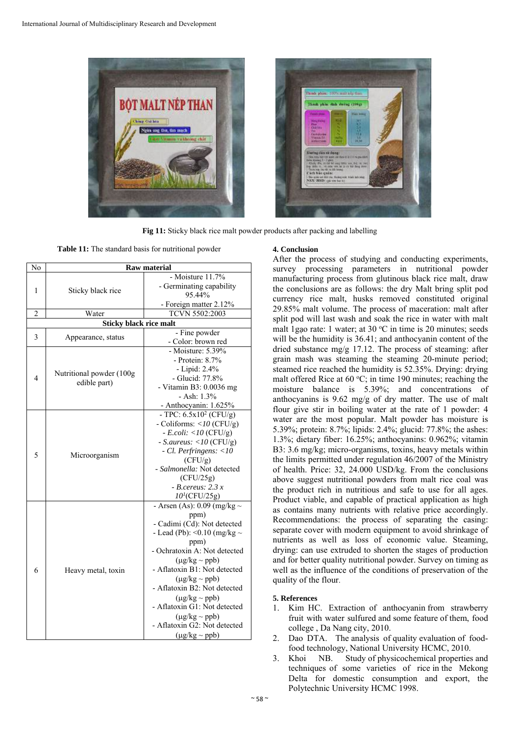



**Fig 11:** Sticky black rice malt powder products after packing and labelling

**Table 11:** The standard basis for nutritional powder

| N <sub>0</sub> | <b>Raw material</b>                      |                                                    |  |  |  |
|----------------|------------------------------------------|----------------------------------------------------|--|--|--|
|                |                                          | - Moisture 11.7%                                   |  |  |  |
| 1              | Sticky black rice                        | - Germinating capability                           |  |  |  |
|                |                                          | 95.44%                                             |  |  |  |
|                |                                          | - Foreign matter 2.12%                             |  |  |  |
| $\overline{c}$ | Water                                    | TCVN 5502:2003                                     |  |  |  |
|                | <b>Sticky black rice malt</b>            |                                                    |  |  |  |
| 3              | Appearance, status                       | - Fine powder                                      |  |  |  |
|                |                                          | - Color: brown red                                 |  |  |  |
|                |                                          | - Moisture: $5.39\%$                               |  |  |  |
|                |                                          | - Protein: 8.7%                                    |  |  |  |
|                | Nutritional powder (100g<br>edible part) | - Lipid: 2.4%                                      |  |  |  |
| $\overline{4}$ |                                          | - Glucid: 77.8%                                    |  |  |  |
|                |                                          | - Vitamin B3: 0.0036 mg                            |  |  |  |
|                |                                          | $-$ Ash: $1.3\%$                                   |  |  |  |
|                |                                          | - Anthocyanin: 1.625%<br>- TPC: $6.5x10^2$ (CFU/g) |  |  |  |
| 5              | Microorganism                            | - Coliforms: < $10$ (CFU/g)                        |  |  |  |
|                |                                          | $-E. coli: <10 (CFU/g)$                            |  |  |  |
|                |                                          | - S.aureus: < $10$ (CFU/g)                         |  |  |  |
|                |                                          | - Cl. Perfringens: <10                             |  |  |  |
|                |                                          | (CFU/g)                                            |  |  |  |
|                |                                          | - Salmonella: Not detected                         |  |  |  |
|                |                                          | (CFU/25g)                                          |  |  |  |
|                |                                          | $-$ B.cereus: 2.3 x                                |  |  |  |
|                |                                          | $10^{1}$ (CFU/25g)                                 |  |  |  |
|                |                                          | - Arsen (As): $0.09$ (mg/kg $\sim$                 |  |  |  |
|                |                                          | ppm)                                               |  |  |  |
|                |                                          | - Cadimi (Cd): Not detected                        |  |  |  |
|                |                                          | - Lead (Pb): < 0.10 (mg/kg $\sim$                  |  |  |  |
|                |                                          | ppm)                                               |  |  |  |
|                |                                          | - Ochratoxin A: Not detected                       |  |  |  |
|                |                                          | $(\mu g/kg \sim ppb)$                              |  |  |  |
| 6              | Heavy metal, toxin                       | - Aflatoxin B1: Not detected                       |  |  |  |
|                |                                          | $(\mu$ g/kg ~ ppb)                                 |  |  |  |
|                |                                          | - Aflatoxin B2: Not detected                       |  |  |  |
|                |                                          | $(\mu g/kg \sim ppb)$                              |  |  |  |
|                |                                          | - Aflatoxin G1: Not detected                       |  |  |  |
|                |                                          | $(\mu g/kg \sim ppb)$                              |  |  |  |
|                |                                          | - Aflatoxin G2: Not detected                       |  |  |  |
|                |                                          | $(\mu g/kg \sim ppb)$                              |  |  |  |

### **4. Conclusion**

After the process of studying and conducting experiments, survey processing parameters in nutritional powder manufacturing process from glutinous black rice malt, draw the conclusions are as follows: the dry Malt bring split pod currency rice malt, husks removed constituted original 29.85% malt volume. The process of maceration: malt after split pod will last wash and soak the rice in water with malt malt 1 gao rate: 1 water; at 30  $\rm{^{\circ}C}$  in time is 20 minutes; seeds will be the humidity is 36.41; and anthocyanin content of the dried substance mg/g 17.12. The process of steaming: after grain mash was steaming the steaming 20-minute period; steamed rice reached the humidity is 52.35%. Drying: drying malt offered Rice at  $60^{\circ}$ C; in time 190 minutes; reaching the moisture balance is 5.39%; and concentrations of anthocyanins is 9.62 mg/g of dry matter. The use of malt flour give stir in boiling water at the rate of 1 powder: 4 water are the most popular. Malt powder has moisture is 5.39%; protein: 8.7%; lipids: 2.4%; glucid: 77.8%; the ashes: 1.3%; dietary fiber: 16.25%; anthocyanins: 0.962%; vitamin B3: 3.6 mg/kg; micro-organisms, toxins, heavy metals within the limits permitted under regulation 46/2007 of the Ministry of health. Price: 32, 24.000 USD/kg. From the conclusions above suggest nutritional powders from malt rice coal was the product rich in nutritious and safe to use for all ages. Product viable, and capable of practical application as high as contains many nutrients with relative price accordingly. Recommendations: the process of separating the casing: separate cover with modern equipment to avoid shrinkage of nutrients as well as loss of economic value. Steaming, drying: can use extruded to shorten the stages of production and for better quality nutritional powder. Survey on timing as well as the influence of the conditions of preservation of the quality of the flour.

# **5. References**

- 1. Kim HC. Extraction of anthocyanin from strawberry fruit with water sulfured and some feature of them, food college , Da Nang city, 2010.
- 2. Dao DTA. The analysis of quality evaluation of foodfood technology, National University HCMC, 2010.
- 3. Khoi NB. Study of physicochemical properties and techniques of some varieties of rice in the Mekong Delta for domestic consumption and export, the Polytechnic University HCMC 1998.